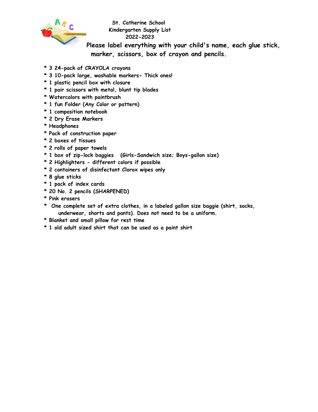

**St. Catherine School Kindergarten Supply List 2022-2023**

**Please label everything with your child's name, each glue stick, marker, scissors, box of crayon and pencils.**

- **\* 3 24-pack of CRAYOLA crayons**
- **\* 3 10-pack large, washable markers- Thick ones!**
- **\* 1 plastic pencil box with closure**
- **\* 1 pair scissors with metal, blunt tip blades**
- **\* Watercolors with paintbrush**
- **\* 1 fun Folder (Any Color or pattern)**
- **\* 1 composition notebook**
- **\* 2 Dry Erase Markers**
- **\* Headphones**
- **\* Pack of construction paper**
- **\* 2 boxes of tissues**
- **\* 2 rolls of paper towels**
- **\* 1 box of zip-lock baggies (Girls-Sandwich size; Boys-gallon size)**
- **\* 2 Highlighters - different colors if possible**
- **\* 2 containers of disinfectant Clorox wipes only**
- **\* 8 glue sticks**
- **\* 1 pack of index cards**
- **\* 20 No. 2 pencils (SHARPENED)**
- **\* Pink erasers**
- **\* One complete set of extra clothes, in a labeled gallon size baggie (shirt, socks, underwear, shorts and pants). Does not need to be a uniform.**
- **\* Blanket and small pillow for rest time**
- **\* 1 old adult sized shirt that can be used as a paint shirt**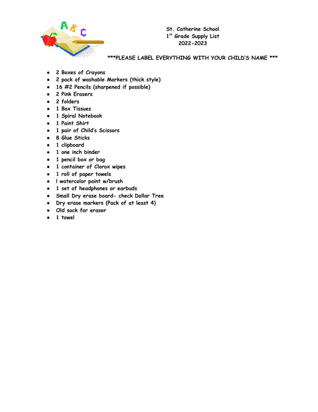

**St. Catherine School 1 st Grade Supply List 2022-2023**

**\*\*\*PLEASE LABEL EVERYTHING WITH YOUR CHILD'S NAME \*\*\***

- **2 Boxes of Crayons**
- **2 pack of washable Markers (thick style)**
- **16 #2 Pencils (sharpened if possible)**
- **2 Pink Erasers**
- **2 folders**
- **1 Box Tissues**
- **1 Spiral Notebook**
- **1 Paint Shirt**
- **1 pair of Child's Scissors**
- **8 Glue Sticks**
- **1 clipboard**
- **1 one inch binder**
- **● 1 pencil box or bag**
- **1 container of Clorox wipes**
- **1 roll of paper towels**
- **l watercolor paint w/brush**
- **● 1 set of headphones or earbuds**
- **● Small Dry erase board- check Dollar Tree**
- **● Dry erase markers (Pack of at least 4)**
- **● Old sock for eraser**
- **● 1 towel**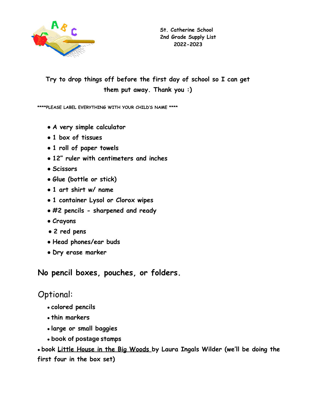

## **Try to drop things off before the first day of school so I can get them put away. Thank you :)**

**\*\*\*\*PLEASE LABEL EVERYTHING WITH YOUR CHILD'S NAME \*\*\*\***

- **● A very simple calculator**
- **1 box of tissues**
- **1 roll of paper towels**
- **12" ruler with centimeters and inches**
- **Scissors**
- **Glue (bottle or stick)**
- **1 art shirt w/ name**
- **1 container Lysol or Clorox wipes**
- **#2 pencils sharpened and ready**
- **Crayons**
- **2 red pens**
- **● Head phones/ear buds**
- **Dry erase marker**

**No pencil boxes, pouches, or folders.**

# Optional:

- **colored pencils**
- **thin markers**
- **large or small baggies**
- **book of postage stamps**

● **book Little House in the Big Woods by Laura Ingals Wilder (we'll be doing the first four in the box set)**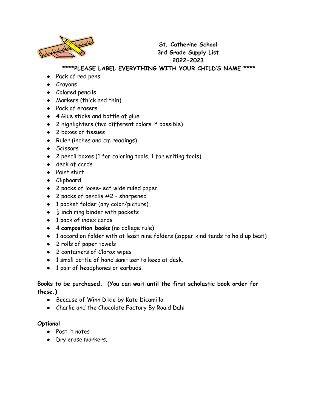

## **St. Catherine School 3rd Grade Supply List 2022-2023**

### **\*\*\*\*PLEASE LABEL EVERYTHING WITH YOUR CHILD'S NAME \*\*\*\***

- Pack of red pens
- Crayons
- Colored pencils
- Markers (thick and thin)
- Pack of erasers
- 4 Glue sticks and bottle of glue
- 2 highlighters (two different colors if possible)
- 2 boxes of tissues
- Ruler (inches and cm readings)
- Scissors
- 2 pencil boxes (1 for coloring tools, 1 for writing tools)
- deck of cards
- Paint shirt
- Clipboard
- 2 packs of loose-leaf wide ruled paper
- $\bullet$  2 packs of pencils  $\#2$  sharpened
- 1 pocket folder (any color/picture)
- $\bullet$   $\frac{1}{2}$  inch ring binder with pockets
- 1 pack of index cards
- 4 **composition books** (no college rule)
- 1 accordion folder with at least nine folders (zipper kind tends to hold up best)
- 2 rolls of paper towels
- 2 containers of Clorox wipes
- 1 small bottle of hand sanitizer to keep at desk.
- 1 pair of headphones or earbuds.

#### **Books to be purchased. (You can wait until the first scholastic book order for these.)**

- Because of Winn Dixie by Kate Dicamillo
- Charlie and the Chocolate Factory By Roald Dahl

#### **Optional**

- Post it notes
- Dry erase markers.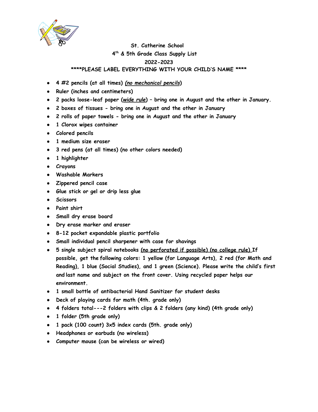

### **St. Catherine School 4 th & 5th Grade Class Supply List 2022-2023 \*\*\*\*PLEASE LABEL EVERYTHING WITH YOUR CHILD'S NAME \*\*\*\***

- **4 #2 pencils (at all times)** *(no mechanical pencils***)**
- **Ruler (inches and centimeters)**
- **2 packs loose-leaf paper (***wide rule***) – bring one in August and the other in January.**
- **2 boxes of tissues - bring one in August and the other in January**
- **2 rolls of paper towels - bring one in August and the other in January**
- **1 Clorox wipes container**
- **Colored pencils**
- **1 medium size eraser**
- **3 red pens (at all times) (no other colors needed)**
- **1 highlighter**
- **Crayons**
- **Washable Markers**
- **Zippered pencil case**
- **Glue stick or gel or drip less glue**
- **Scissors**
- **Paint shirt**
- **● Small dry erase board**
- **● Dry erase marker and eraser**
- **8-12 pocket expandable plastic portfolio**
- **Small individual pencil sharpener with case for shavings**
- **5 single subject spiral notebooks (no perforated if possible) (no college rule) If possible, get the following colors: 1 yellow (for Language Arts), 2 red (for Math and Reading), 1 blue (Social Studies), and 1 green (Science). Please write the child's first and last name and subject on the front cover. Using recycled paper helps our environment.**
- **1 small bottle of antibacterial Hand Sanitizer for student desks**
- **Deck of playing cards for math (4th. grade only)**
- **4 folders total---2 folders with clips & 2 folders (any kind) (4th grade only)**
- **1 folder (5th grade only)**
- **1 pack (100 count) 3x5 index cards (5th. grade only)**
- **● Headphones or earbuds (no wireless)**
- **● Computer mouse (can be wireless or wired)**